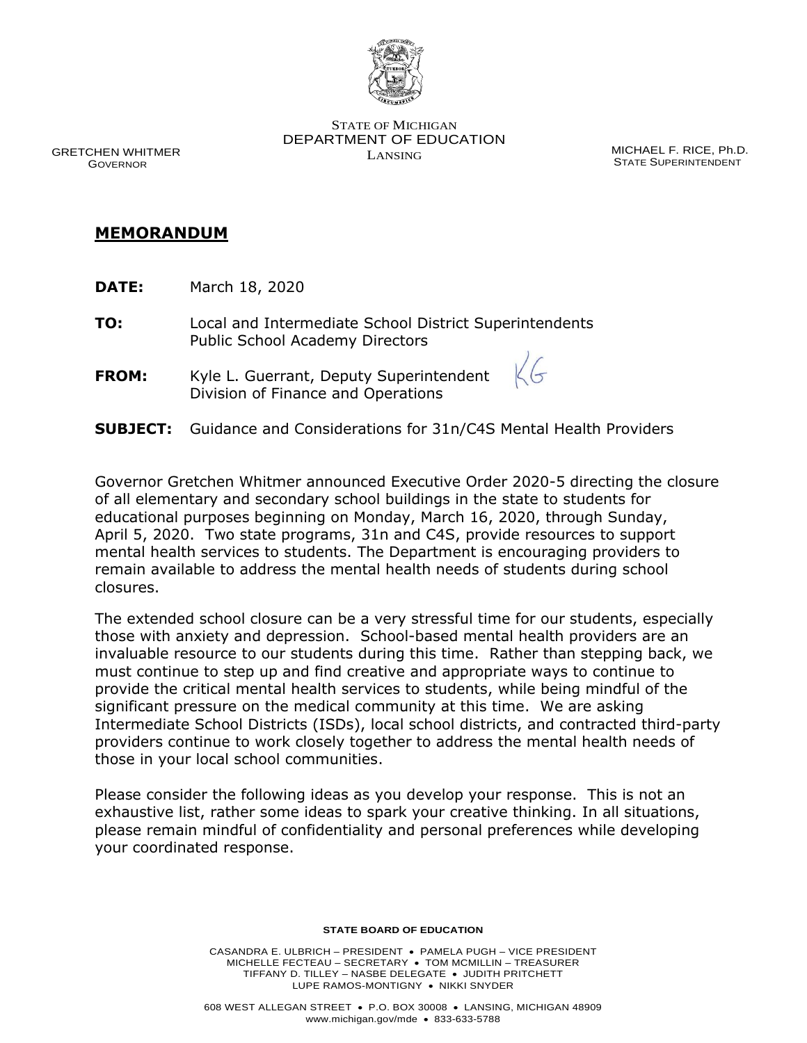

STATE OF MICHIGAN DEPARTMENT OF EDUCATION LANSING

MICHAEL F. RICE, Ph.D. STATE SUPERINTENDENT

GRETCHEN WHITMER GOVERNOR

## **MEMORANDUM**

- **DATE:** March 18, 2020
- **TO:** Local and Intermediate School District Superintendents Public School Academy Directors
- **FROM:** Kyle L. Guerrant, Deputy Superintendent Division of Finance and Operations
- **SUBJECT:** Guidance and Considerations for 31n/C4S Mental Health Providers

 Governor Gretchen Whitmer announced Executive Order 2020-5 directing the closure of all elementary and secondary school buildings in the state to students for educational purposes beginning on Monday, March 16, 2020, through Sunday, April 5, 2020. Two state programs, 31n and C4S, provide resources to support mental health services to students. The Department is encouraging providers to remain available to address the mental health needs of students during school closures.

 The extended school closure can be a very stressful time for our students, especially those with anxiety and depression. School-based mental health providers are an invaluable resource to our students during this time. Rather than stepping back, we must continue to step up and find creative and appropriate ways to continue to Intermediate School Districts (ISDs), local school districts, and contracted third-party providers continue to work closely together to address the mental health needs of those in your local school communities. provide the critical mental health services to students, while being mindful of the significant pressure on the medical community at this time. We are asking

 Please consider the following ideas as you develop your response. This is not an exhaustive list, rather some ideas to spark your creative thinking. In all situations, please remain mindful of confidentiality and personal preferences while developing your coordinated response.

#### **STATE BOARD OF EDUCATION**

 MICHELLE FECTEAU – SECRETARY • TOM MCMILLIN – TREASURER TIFFANY D. TILLEY – NASBE DELEGATE • JUDITH PRITCHETT LUPE RAMOS-MONTIGNY • NIKKI SNYDER CASANDRA E. ULBRICH – PRESIDENT • PAMELA PUGH – VICE PRESIDENT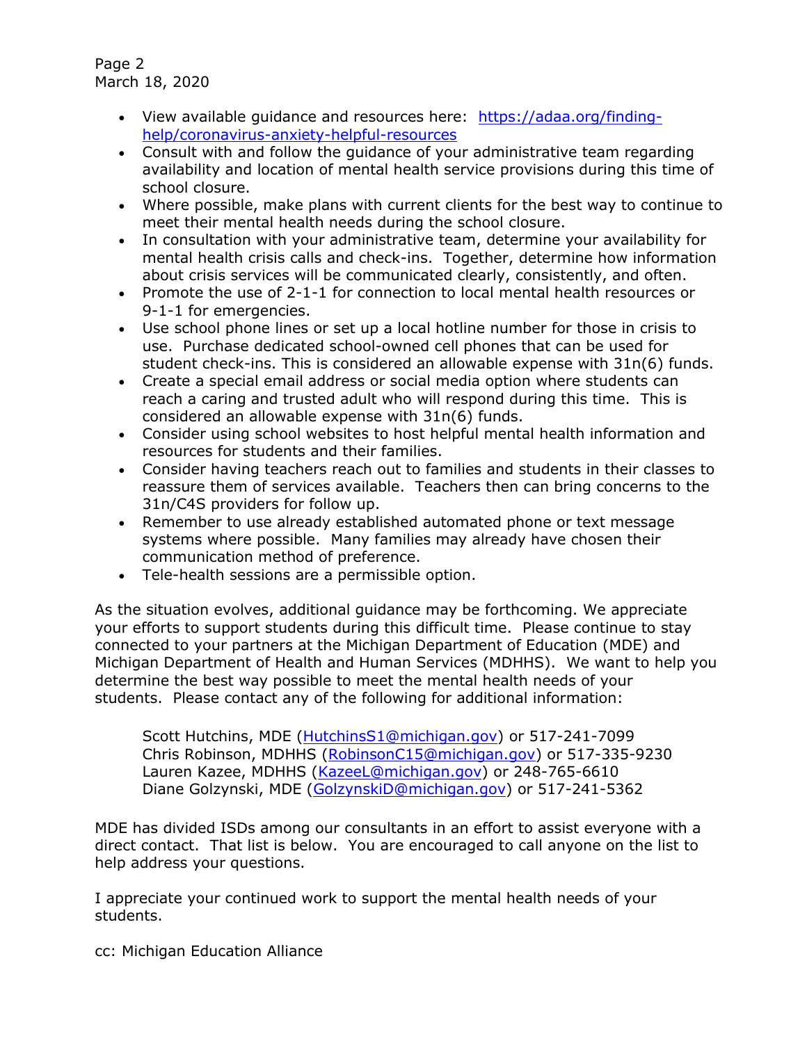Page 2 March 18, 2020

- [help/coronavirus-anxiety-helpful-resources](https://gcc01.safelinks.protection.outlook.com/?url=https%3A%2F%2Fadaa.org%2Ffinding-help%2Fcoronavirus-anxiety-helpful-resources&data=02%7C01%7CDixonJ5%40michigan.gov%7C55aab269a3254aad568508d7ca890941%7Cd5fb7087377742ad966a892ef47225d1%7C0%7C0%7C637200562221888431&sdata=ab04gtgDkbj3CdoSQt%2B5looaxcqAgHR%2BKcegglrnApo%3D&reserved=0) • View available guidance and resources here: [https://adaa.org/finding-](https://gcc01.safelinks.protection.outlook.com/?url=https%3A%2F%2Fadaa.org%2Ffinding-help%2Fcoronavirus-anxiety-helpful-resources&data=02%7C01%7CDixonJ5%40michigan.gov%7C55aab269a3254aad568508d7ca890941%7Cd5fb7087377742ad966a892ef47225d1%7C0%7C0%7C637200562221888431&sdata=ab04gtgDkbj3CdoSQt%2B5looaxcqAgHR%2BKcegglrnApo%3D&reserved=0)
- • Consult with and follow the guidance of your administrative team regarding availability and location of mental health service provisions during this time of school closure.
- • Where possible, make plans with current clients for the best way to continue to meet their mental health needs during the school closure.
- • In consultation with your administrative team, determine your availability for about crisis services will be communicated clearly, consistently, and often. mental health crisis calls and check-ins. Together, determine how information
- • Promote the use of 2-1-1 for connection to local mental health resources or 9-1-1 for emergencies.
- • Use school phone lines or set up a local hotline number for those in crisis to use. Purchase dedicated school-owned cell phones that can be used for student check-ins. This is considered an allowable expense with 31n(6) funds.
- • Create a special email address or social media option where students can reach a caring and trusted adult who will respond during this time. This is considered an allowable expense with 31n(6) funds.
- • Consider using school websites to host helpful mental health information and resources for students and their families.
- • Consider having teachers reach out to families and students in their classes to reassure them of services available. Teachers then can bring concerns to the 31n/C4S providers for follow up.
- • Remember to use already established automated phone or text message systems where possible. Many families may already have chosen their communication method of preference.
- Tele-health sessions are a permissible option.

 • Tele-health sessions are a permissible option. As the situation evolves, additional guidance may be forthcoming. We appreciate connected to your partners at the Michigan Department of Education (MDE) and Michigan Department of Health and Human Services (MDHHS). We want to help you your efforts to support students during this difficult time. Please continue to stay determine the best way possible to meet the mental health needs of your students. Please contact any of the following for additional information:

Scott Hutchins, MDE [\(HutchinsS1@michigan.gov\)](mailto:HutchinsS1@michigan.gov) or 517-241-7099 Diane Golzynski, MDE [\(GolzynskiD@michigan.gov\)](mailto:GolzynskiD@michigan.gov) or 517-241-5362 Chris Robinson, MDHHS [\(RobinsonC15@michigan.gov\)](mailto:RobinsonC15@michigan.gov) or 517-335-9230 Lauren Kazee, MDHHS [\(KazeeL@michigan.gov\)](mailto:KazeeL@michigan.gov) or 248-765-6610

 MDE has divided ISDs among our consultants in an effort to assist everyone with a help address your questions. direct contact. That list is below. You are encouraged to call anyone on the list to

I appreciate your continued work to support the mental health needs of your students.

cc: Michigan Education Alliance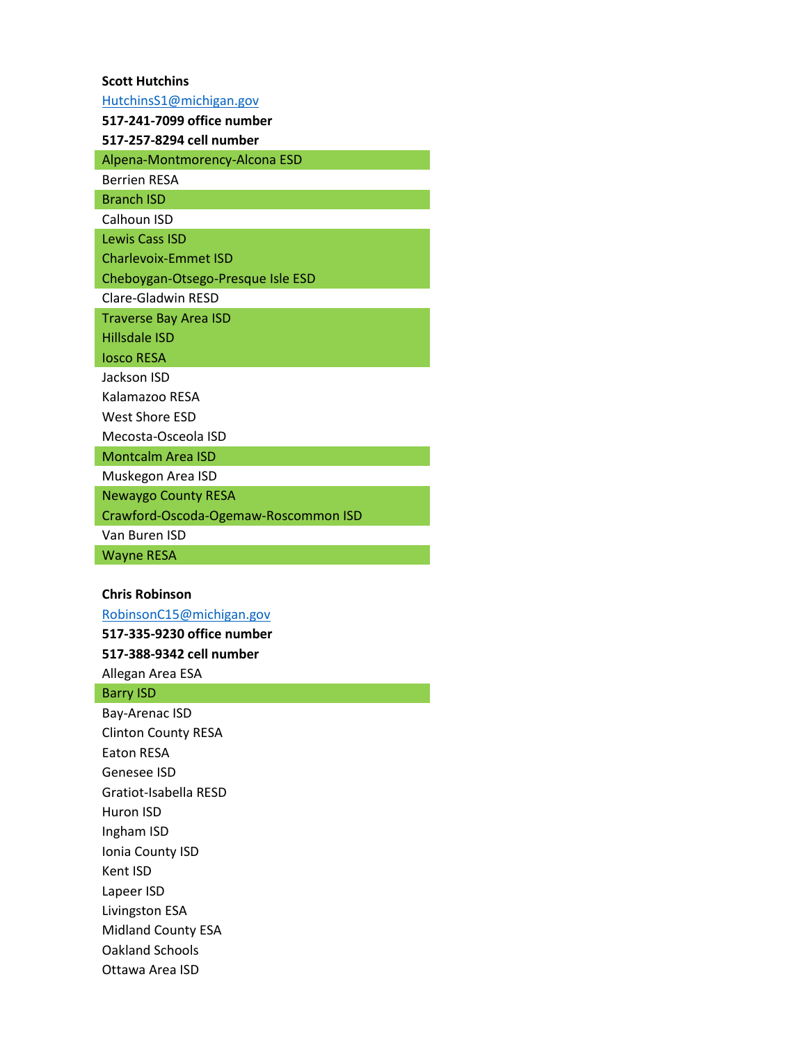# **Scott Hutchins**  [HutchinsS1@michigan.gov](mailto:HutchinsS1@michigan.gov)  **517-241-7099 office number 517-257-8294 cell number**  Alpena-Montmorency-Alcona ESD Berrien RESA Branch ISD Calhoun ISD Lewis Cass ISD Charlevoix-Emmet ISD Cheboygan-Otsego-Presque Isle ESD Clare-Gladwin RESD Traverse Bay Area ISD Hillsdale ISD Iosco RESA Jackson ISD Kalamazoo RESA West Shore ESD Mecosta-Osceola ISD Montcalm Area ISD Muskegon Area ISD Newaygo County RESA

Crawford-Oscoda-Ogemaw-Roscommon ISD

Van Buren ISD

Wayne RESA

### **Chris Robinson**

[RobinsonC15@michigan.gov](mailto:RobinsonC15@michigan.gov)  **517-335-9230 office number** 

**517-388-9342 cell number** 

Allegan Area ESA

#### Barry ISD

Bay-Arenac ISD Clinton County RESA Eaton RESA Genesee ISD Gratiot-Isabella RESD Huron ISD Ingham ISD Ionia County ISD Kent ISD Lapeer ISD Livingston ESA Midland County ESA Oakland Schools Ottawa Area ISD